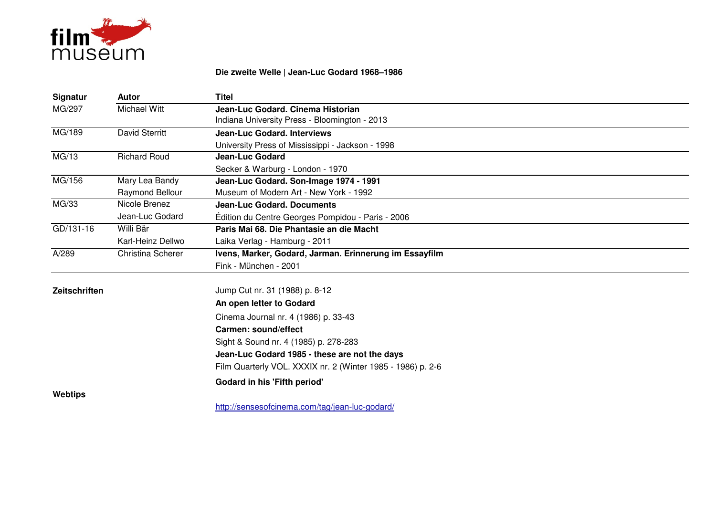

## **Die zweite Welle | Jean-Luc Godard 1968–1986**

| Signatur       | <b>Autor</b>          | <b>Titel</b>                                                |
|----------------|-----------------------|-------------------------------------------------------------|
| MG/297         | Michael Witt          | Jean-Luc Godard, Cinema Historian                           |
|                |                       | Indiana University Press - Bloomington - 2013               |
| MG/189         | <b>David Sterritt</b> | <b>Jean-Luc Godard, Interviews</b>                          |
|                |                       | University Press of Mississippi - Jackson - 1998            |
| MG/13          | Richard Roud          | <b>Jean-Luc Godard</b>                                      |
|                |                       | Secker & Warburg - London - 1970                            |
| MG/156         | Mary Lea Bandy        | Jean-Luc Godard. Son-Image 1974 - 1991                      |
|                | Raymond Bellour       | Museum of Modern Art - New York - 1992                      |
| MG/33          | Nicole Brenez         | <b>Jean-Luc Godard, Documents</b>                           |
|                | Jean-Luc Godard       | Édition du Centre Georges Pompidou - Paris - 2006           |
| GD/131-16      | Willi Bär             | Paris Mai 68. Die Phantasie an die Macht                    |
|                | Karl-Heinz Dellwo     | Laika Verlag - Hamburg - 2011                               |
| A/289          | Christina Scherer     | Ivens, Marker, Godard, Jarman. Erinnerung im Essayfilm      |
|                |                       | Fink - München - 2001                                       |
| Zeitschriften  |                       | Jump Cut nr. 31 (1988) p. 8-12                              |
|                |                       | An open letter to Godard                                    |
|                |                       | Cinema Journal nr. 4 (1986) p. 33-43                        |
|                |                       | Carmen: sound/effect                                        |
|                |                       | Sight & Sound nr. 4 (1985) p. 278-283                       |
|                |                       | Jean-Luc Godard 1985 - these are not the days               |
|                |                       | Film Quarterly VOL. XXXIX nr. 2 (Winter 1985 - 1986) p. 2-6 |
|                |                       | Godard in his 'Fifth period'                                |
| <b>Webtips</b> |                       |                                                             |
|                |                       | http://sensesofcinema.com/tag/jean-luc-godard/              |